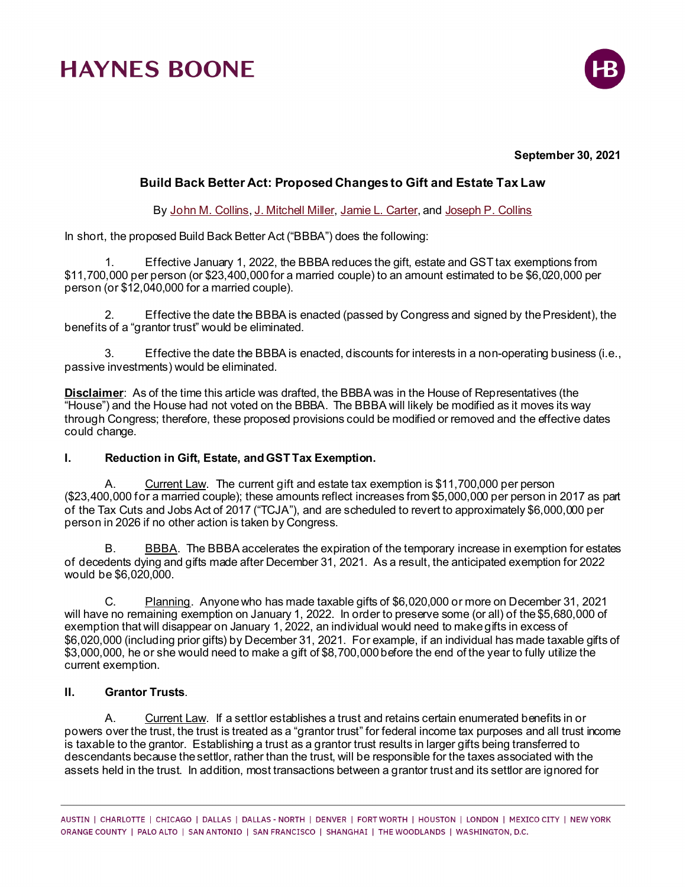# **HAYNES BOONE**



#### **September 30, 2021**

### **Build Back Better Act: Proposed Changes to Gift and Estate Tax Law**

By [John M. Collins](https://www.haynesboone.com/people/collins-john)[, J. Mitchell Miller,](https://www.haynesboone.com/people/miller-j-mitchell) [Jamie L. Carter,](https://www.haynesboone.com/people/carter-jamie) an[d Joseph P. Collins](https://www.haynesboone.com/people/collins-joseph)

In short, the proposed Build Back Better Act ("BBBA") does the following:

1. Effective January 1, 2022, the BBBA reduces the gift, estate and GST tax exemptions from \$11,700,000 per person (or \$23,400,000 for a married couple) to an amount estimated to be \$6,020,000 per person (or \$12,040,000 for a married couple).

2. Effective the date the BBBA is enacted (passed by Congress and signed by the President), the benefits of a "grantor trust" would be eliminated.

3. Effective the date the BBBA is enacted, discounts for interests in a non-operating business (i.e., passive investments) would be eliminated.

**Disclaimer**: As of the time this article was drafted, the BBBA was in the House of Representatives (the "House") and the House had not voted on the BBBA. The BBBA will likely be modified as it moves its way through Congress; therefore, these proposed provisions could be modified or removed and the effective dates could change.

#### **I. Reduction in Gift, Estate, and GST Tax Exemption.**

A. Current Law. The current gift and estate tax exemption is \$11,700,000 per person (\$23,400,000 for a married couple); these amounts reflect increases from \$5,000,000 per person in 2017 as part of the Tax Cuts and Jobs Act of 2017 ("TCJA"), and are scheduled to revert to approximately \$6,000,000 per person in 2026 if no other action is taken by Congress.

B. BBBA. The BBBA accelerates the expiration of the temporary increase in exemption for estates of decedents dying and gifts made after December 31, 2021. As a result, the anticipated exemption for 2022 would be \$6,020,000.

C. Planning. Anyone who has made taxable gifts of \$6,020,000 or more on December 31, 2021 will have no remaining exemption on January 1, 2022. In order to preserve some (or all) of the \$5,680,000 of exemption that will disappear on January 1, 2022, an individual would need to make gifts in excess of \$6,020,000 (including prior gifts) by December 31, 2021. For example, if an individual has made taxable gifts of \$3,000,000, he or she would need to make a gift of \$8,700,000 before the end of the year to fully utilize the current exemption.

#### **II. Grantor Trusts**.

A. Current Law. If a settlor establishes a trust and retains certain enumerated benefits in or powers over the trust, the trust is treated as a "grantor trust" for federal income tax purposes and all trust income is taxable to the grantor. Establishing a trust as a grantor trust results in larger gifts being transferred to descendants because the settlor, rather than the trust, will be responsible for the taxes associated with the assets held in the trust. In addition, most transactions between a grantor trust and its settlor are ignored for

AUSTIN | CHARLOTTE | CHICAGO | DALLAS | DALLAS - NORTH | DENVER | FORT WORTH | HOUSTON | LONDON | MEXICO CITY | NEW YORK ORANGE COUNTY | PALO ALTO | SAN ANTONIO | SAN FRANCISCO | SHANGHAI | THE WOODLANDS | WASHINGTON, D.C.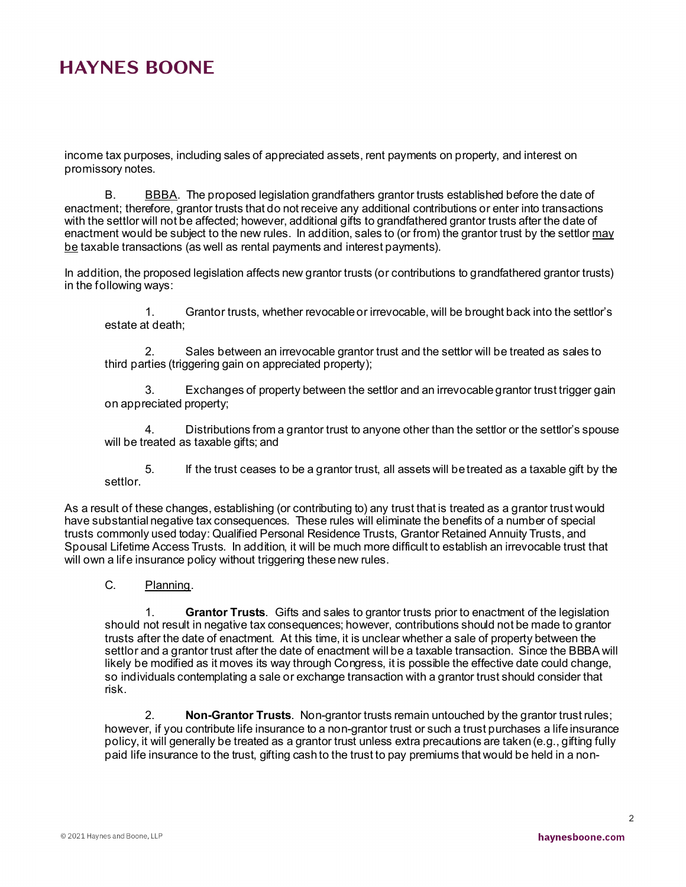## **HAYNES BOONE**

income tax purposes, including sales of appreciated assets, rent payments on property, and interest on promissory notes.

B. BBBA. The proposed legislation grandfathers grantor trusts established before the date of enactment; therefore, grantor trusts that do not receive any additional contributions or enter into transactions with the settlor will not be affected; however, additional gifts to grandfathered grantor trusts after the date of enactment would be subject to the new rules. In addition, sales to (or from) the grantor trust by the settlor may be taxable transactions (as well as rental payments and interest payments).

In addition, the proposed legislation affects new grantor trusts (or contributions to grandfathered grantor trusts) in the following ways:

1. Grantor trusts, whether revocable or irrevocable, will be brought back into the settlor's estate at death;

2. Sales between an irrevocable grantor trust and the settlor will be treated as sales to third parties (triggering gain on appreciated property);

3. Exchanges of property between the settlor and an irrevocable grantor trust trigger gain on appreciated property;

4. Distributions from a grantor trust to anyone other than the settlor or the settlor's spouse will be treated as taxable gifts; and

5. If the trust ceases to be a grantor trust, all assets will be treated as a taxable gift by the settlor.

As a result of these changes, establishing (or contributing to) any trust that is treated as a grantor trust would have substantial negative tax consequences. These rules will eliminate the benefits of a number of special trusts commonly used today: Qualified Personal Residence Trusts, Grantor Retained Annuity Trusts, and Spousal Lifetime Access Trusts. In addition, it will be much more difficult to establish an irrevocable trust that will own a life insurance policy without triggering these new rules.

C. Planning.

1. **Grantor Trusts**. Gifts and sales to grantor trusts prior to enactment of the legislation should not result in negative tax consequences; however, contributions should not be made to grantor trusts after the date of enactment. At this time, it is unclear whether a sale of property between the settlor and a grantor trust after the date of enactment will be a taxable transaction. Since the BBBA will likely be modified as it moves its way through Congress, it is possible the effective date could change, so individuals contemplating a sale or exchange transaction with a grantor trust should consider that risk.

2. **Non-Grantor Trusts**. Non-grantor trusts remain untouched by the grantor trust rules; however, if you contribute life insurance to a non-grantor trust or such a trust purchases a life insurance policy, it will generally be treated as a grantor trust unless extra precautions are taken (e.g., gifting fully paid life insurance to the trust, gifting cash to the trust to pay premiums that would be held in a non-